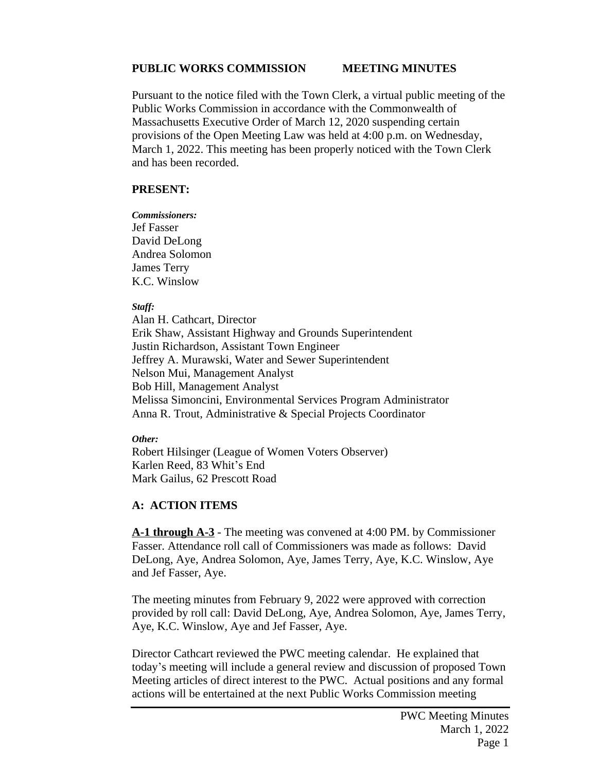#### **PUBLIC WORKS COMMISSION MEETING MINUTES**

Pursuant to the notice filed with the Town Clerk, a virtual public meeting of the Public Works Commission in accordance with the Commonwealth of Massachusetts Executive Order of March 12, 2020 suspending certain provisions of the Open Meeting Law was held at 4:00 p.m. on Wednesday, March 1, 2022. This meeting has been properly noticed with the Town Clerk and has been recorded.

#### **PRESENT:**

*Commissioners:* Jef Fasser David DeLong Andrea Solomon James Terry K.C. Winslow

#### *Staff:*

Alan H. Cathcart, Director Erik Shaw, Assistant Highway and Grounds Superintendent Justin Richardson, Assistant Town Engineer Jeffrey A. Murawski, Water and Sewer Superintendent Nelson Mui, Management Analyst Bob Hill, Management Analyst Melissa Simoncini, Environmental Services Program Administrator Anna R. Trout, Administrative & Special Projects Coordinator

#### *Other:*

Robert Hilsinger (League of Women Voters Observer) Karlen Reed, 83 Whit's End Mark Gailus, 62 Prescott Road

### **A: ACTION ITEMS**

**A-1 through A-3** - The meeting was convened at 4:00 PM. by Commissioner Fasser. Attendance roll call of Commissioners was made as follows: David DeLong, Aye, Andrea Solomon, Aye, James Terry, Aye, K.C. Winslow, Aye and Jef Fasser, Aye.

The meeting minutes from February 9, 2022 were approved with correction provided by roll call: David DeLong, Aye, Andrea Solomon, Aye, James Terry, Aye, K.C. Winslow, Aye and Jef Fasser, Aye.

Director Cathcart reviewed the PWC meeting calendar. He explained that today's meeting will include a general review and discussion of proposed Town Meeting articles of direct interest to the PWC. Actual positions and any formal actions will be entertained at the next Public Works Commission meeting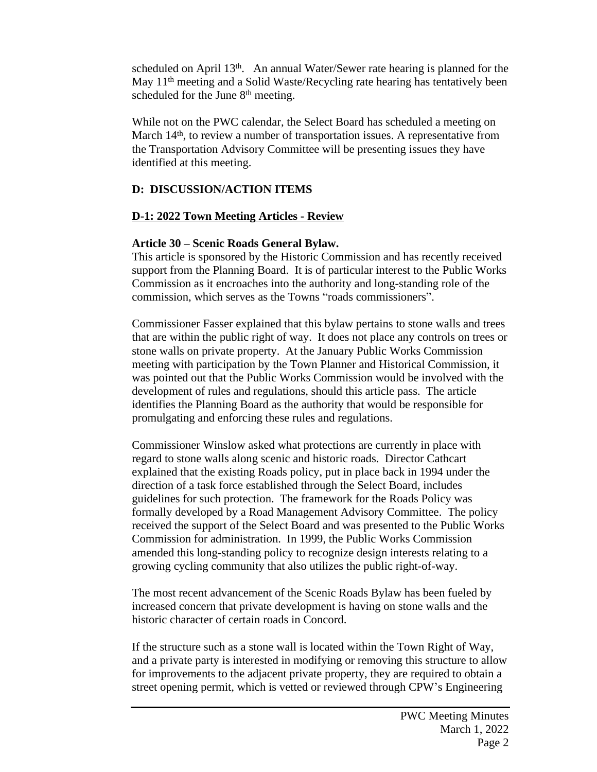scheduled on April 13<sup>th</sup>. An annual Water/Sewer rate hearing is planned for the May 11<sup>th</sup> meeting and a Solid Waste/Recycling rate hearing has tentatively been scheduled for the June 8<sup>th</sup> meeting.

While not on the PWC calendar, the Select Board has scheduled a meeting on March 14<sup>th</sup>, to review a number of transportation issues. A representative from the Transportation Advisory Committee will be presenting issues they have identified at this meeting.

## **D: DISCUSSION/ACTION ITEMS**

## **D-1: 2022 Town Meeting Articles - Review**

## **Article 30 – Scenic Roads General Bylaw.**

This article is sponsored by the Historic Commission and has recently received support from the Planning Board. It is of particular interest to the Public Works Commission as it encroaches into the authority and long-standing role of the commission, which serves as the Towns "roads commissioners".

Commissioner Fasser explained that this bylaw pertains to stone walls and trees that are within the public right of way. It does not place any controls on trees or stone walls on private property. At the January Public Works Commission meeting with participation by the Town Planner and Historical Commission, it was pointed out that the Public Works Commission would be involved with the development of rules and regulations, should this article pass. The article identifies the Planning Board as the authority that would be responsible for promulgating and enforcing these rules and regulations.

Commissioner Winslow asked what protections are currently in place with regard to stone walls along scenic and historic roads. Director Cathcart explained that the existing Roads policy, put in place back in 1994 under the direction of a task force established through the Select Board, includes guidelines for such protection. The framework for the Roads Policy was formally developed by a Road Management Advisory Committee. The policy received the support of the Select Board and was presented to the Public Works Commission for administration. In 1999, the Public Works Commission amended this long-standing policy to recognize design interests relating to a growing cycling community that also utilizes the public right-of-way.

The most recent advancement of the Scenic Roads Bylaw has been fueled by increased concern that private development is having on stone walls and the historic character of certain roads in Concord.

If the structure such as a stone wall is located within the Town Right of Way, and a private party is interested in modifying or removing this structure to allow for improvements to the adjacent private property, they are required to obtain a street opening permit, which is vetted or reviewed through CPW's Engineering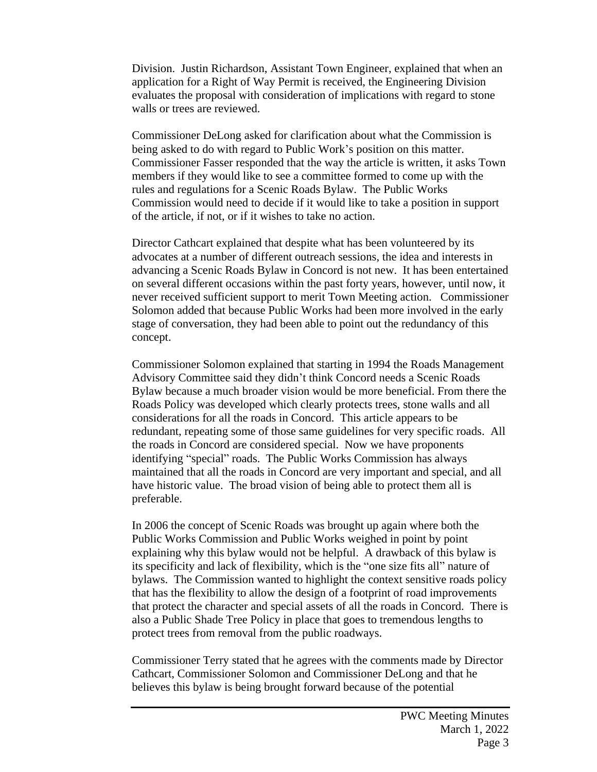Division. Justin Richardson, Assistant Town Engineer, explained that when an application for a Right of Way Permit is received, the Engineering Division evaluates the proposal with consideration of implications with regard to stone walls or trees are reviewed.

Commissioner DeLong asked for clarification about what the Commission is being asked to do with regard to Public Work's position on this matter. Commissioner Fasser responded that the way the article is written, it asks Town members if they would like to see a committee formed to come up with the rules and regulations for a Scenic Roads Bylaw. The Public Works Commission would need to decide if it would like to take a position in support of the article, if not, or if it wishes to take no action.

Director Cathcart explained that despite what has been volunteered by its advocates at a number of different outreach sessions, the idea and interests in advancing a Scenic Roads Bylaw in Concord is not new. It has been entertained on several different occasions within the past forty years, however, until now, it never received sufficient support to merit Town Meeting action. Commissioner Solomon added that because Public Works had been more involved in the early stage of conversation, they had been able to point out the redundancy of this concept.

Commissioner Solomon explained that starting in 1994 the Roads Management Advisory Committee said they didn't think Concord needs a Scenic Roads Bylaw because a much broader vision would be more beneficial. From there the Roads Policy was developed which clearly protects trees, stone walls and all considerations for all the roads in Concord. This article appears to be redundant, repeating some of those same guidelines for very specific roads. All the roads in Concord are considered special. Now we have proponents identifying "special" roads. The Public Works Commission has always maintained that all the roads in Concord are very important and special, and all have historic value. The broad vision of being able to protect them all is preferable.

In 2006 the concept of Scenic Roads was brought up again where both the Public Works Commission and Public Works weighed in point by point explaining why this bylaw would not be helpful. A drawback of this bylaw is its specificity and lack of flexibility, which is the "one size fits all" nature of bylaws. The Commission wanted to highlight the context sensitive roads policy that has the flexibility to allow the design of a footprint of road improvements that protect the character and special assets of all the roads in Concord. There is also a Public Shade Tree Policy in place that goes to tremendous lengths to protect trees from removal from the public roadways.

Commissioner Terry stated that he agrees with the comments made by Director Cathcart, Commissioner Solomon and Commissioner DeLong and that he believes this bylaw is being brought forward because of the potential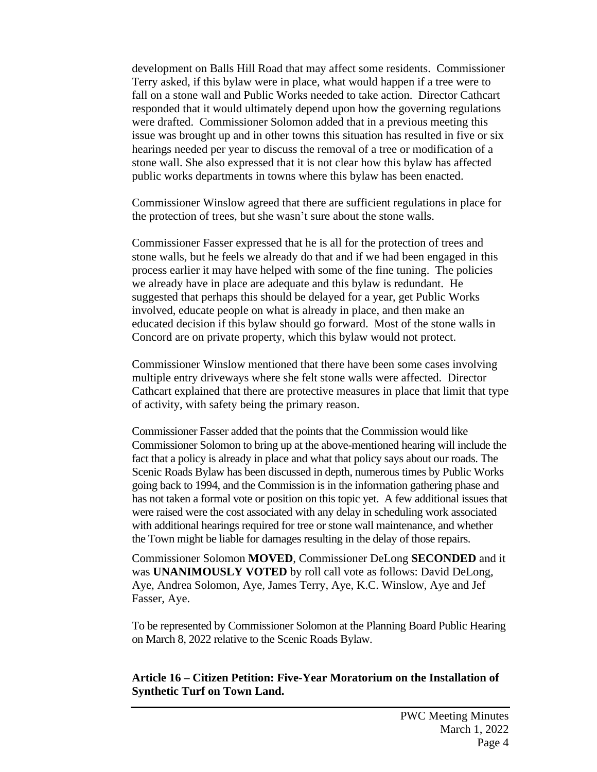development on Balls Hill Road that may affect some residents. Commissioner Terry asked, if this bylaw were in place, what would happen if a tree were to fall on a stone wall and Public Works needed to take action. Director Cathcart responded that it would ultimately depend upon how the governing regulations were drafted. Commissioner Solomon added that in a previous meeting this issue was brought up and in other towns this situation has resulted in five or six hearings needed per year to discuss the removal of a tree or modification of a stone wall. She also expressed that it is not clear how this bylaw has affected public works departments in towns where this bylaw has been enacted.

Commissioner Winslow agreed that there are sufficient regulations in place for the protection of trees, but she wasn't sure about the stone walls.

Commissioner Fasser expressed that he is all for the protection of trees and stone walls, but he feels we already do that and if we had been engaged in this process earlier it may have helped with some of the fine tuning. The policies we already have in place are adequate and this bylaw is redundant. He suggested that perhaps this should be delayed for a year, get Public Works involved, educate people on what is already in place, and then make an educated decision if this bylaw should go forward. Most of the stone walls in Concord are on private property, which this bylaw would not protect.

Commissioner Winslow mentioned that there have been some cases involving multiple entry driveways where she felt stone walls were affected. Director Cathcart explained that there are protective measures in place that limit that type of activity, with safety being the primary reason.

Commissioner Fasser added that the points that the Commission would like Commissioner Solomon to bring up at the above-mentioned hearing will include the fact that a policy is already in place and what that policy says about our roads. The Scenic Roads Bylaw has been discussed in depth, numerous times by Public Works going back to 1994, and the Commission is in the information gathering phase and has not taken a formal vote or position on this topic yet. A few additional issues that were raised were the cost associated with any delay in scheduling work associated with additional hearings required for tree or stone wall maintenance, and whether the Town might be liable for damages resulting in the delay of those repairs.

Commissioner Solomon **MOVED**, Commissioner DeLong **SECONDED** and it was **UNANIMOUSLY VOTED** by roll call vote as follows: David DeLong, Aye, Andrea Solomon, Aye, James Terry, Aye, K.C. Winslow, Aye and Jef Fasser, Aye.

To be represented by Commissioner Solomon at the Planning Board Public Hearing on March 8, 2022 relative to the Scenic Roads Bylaw.

### **Article 16 – Citizen Petition: Five-Year Moratorium on the Installation of Synthetic Turf on Town Land.**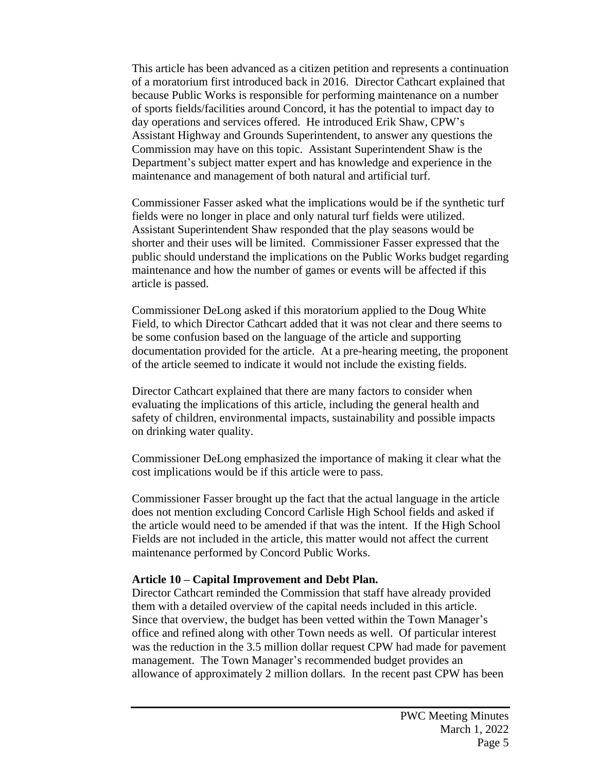This article has been advanced as a citizen petition and represents a continuation of a moratorium first introduced back in 2016. Director Cathcart explained that because Public Works is responsible for performing maintenance on a number of sports fields/facilities around Concord, it has the potential to impact day to day operations and services offered. He introduced Erik Shaw, CPW's Assistant Highway and Grounds Superintendent, to answer any questions the Commission may have on this topic. Assistant Superintendent Shaw is the Department's subject matter expert and has knowledge and experience in the maintenance and management of both natural and artificial turf.

Commissioner Fasser asked what the implications would be if the synthetic turf fields were no longer in place and only natural turf fields were utilized. Assistant Superintendent Shaw responded that the play seasons would be shorter and their uses will be limited. Commissioner Fasser expressed that the public should understand the implications on the Public Works budget regarding maintenance and how the number of games or events will be affected if this article is passed.

Commissioner DeLong asked if this moratorium applied to the Doug White Field, to which Director Cathcart added that it was not clear and there seems to be some confusion based on the language of the article and supporting documentation provided for the article. At a pre-hearing meeting, the proponent of the article seemed to indicate it would not include the existing fields.

Director Cathcart explained that there are many factors to consider when evaluating the implications of this article, including the general health and safety of children, environmental impacts, sustainability and possible impacts on drinking water quality.

Commissioner DeLong emphasized the importance of making it clear what the cost implications would be if this article were to pass.

Commissioner Fasser brought up the fact that the actual language in the article does not mention excluding Concord Carlisle High School fields and asked if the article would need to be amended if that was the intent. If the High School Fields are not included in the article, this matter would not affect the current maintenance performed by Concord Public Works.

### **Article 10 – Capital Improvement and Debt Plan.**

Director Cathcart reminded the Commission that staff have already provided them with a detailed overview of the capital needs included in this article. Since that overview, the budget has been vetted within the Town Manager's office and refined along with other Town needs as well. Of particular interest was the reduction in the 3.5 million dollar request CPW had made for pavement management. The Town Manager's recommended budget provides an allowance of approximately 2 million dollars. In the recent past CPW has been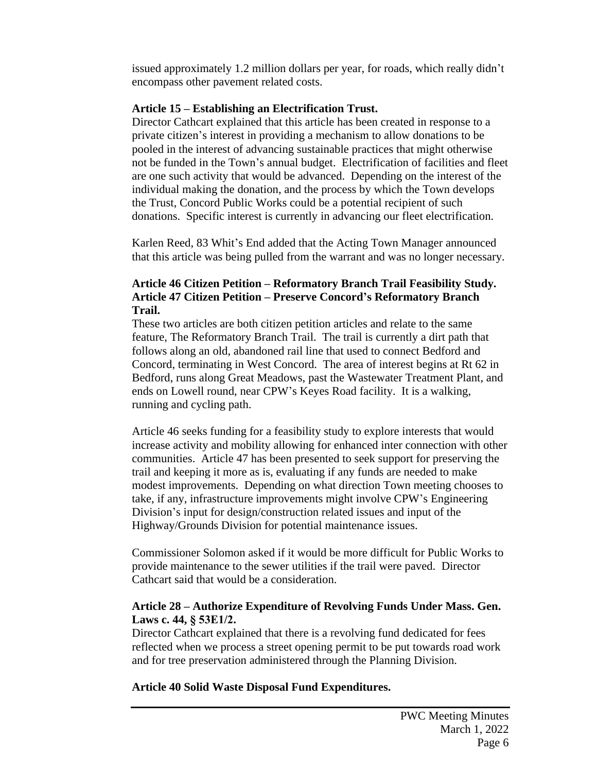issued approximately 1.2 million dollars per year, for roads, which really didn't encompass other pavement related costs.

## **Article 15 – Establishing an Electrification Trust.**

Director Cathcart explained that this article has been created in response to a private citizen's interest in providing a mechanism to allow donations to be pooled in the interest of advancing sustainable practices that might otherwise not be funded in the Town's annual budget. Electrification of facilities and fleet are one such activity that would be advanced. Depending on the interest of the individual making the donation, and the process by which the Town develops the Trust, Concord Public Works could be a potential recipient of such donations. Specific interest is currently in advancing our fleet electrification.

Karlen Reed, 83 Whit's End added that the Acting Town Manager announced that this article was being pulled from the warrant and was no longer necessary.

## **Article 46 Citizen Petition – Reformatory Branch Trail Feasibility Study. Article 47 Citizen Petition – Preserve Concord's Reformatory Branch Trail.**

These two articles are both citizen petition articles and relate to the same feature, The Reformatory Branch Trail. The trail is currently a dirt path that follows along an old, abandoned rail line that used to connect Bedford and Concord, terminating in West Concord. The area of interest begins at Rt 62 in Bedford, runs along Great Meadows, past the Wastewater Treatment Plant, and ends on Lowell round, near CPW's Keyes Road facility. It is a walking, running and cycling path.

Article 46 seeks funding for a feasibility study to explore interests that would increase activity and mobility allowing for enhanced inter connection with other communities. Article 47 has been presented to seek support for preserving the trail and keeping it more as is, evaluating if any funds are needed to make modest improvements. Depending on what direction Town meeting chooses to take, if any, infrastructure improvements might involve CPW's Engineering Division's input for design/construction related issues and input of the Highway/Grounds Division for potential maintenance issues.

Commissioner Solomon asked if it would be more difficult for Public Works to provide maintenance to the sewer utilities if the trail were paved. Director Cathcart said that would be a consideration.

## **Article 28 – Authorize Expenditure of Revolving Funds Under Mass. Gen. Laws c. 44, § 53E1/2.**

Director Cathcart explained that there is a revolving fund dedicated for fees reflected when we process a street opening permit to be put towards road work and for tree preservation administered through the Planning Division.

### **Article 40 Solid Waste Disposal Fund Expenditures.**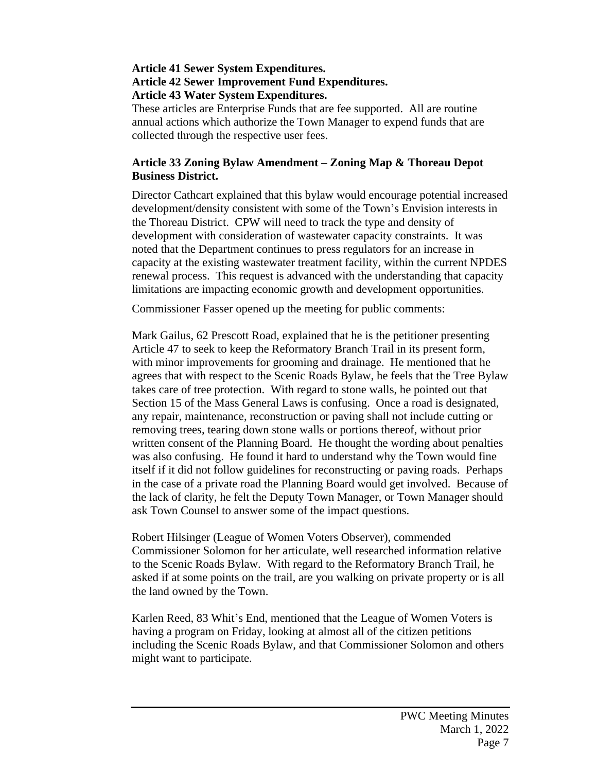#### **Article 41 Sewer System Expenditures. Article 42 Sewer Improvement Fund Expenditures. Article 43 Water System Expenditures.**

These articles are Enterprise Funds that are fee supported. All are routine annual actions which authorize the Town Manager to expend funds that are collected through the respective user fees.

## **Article 33 Zoning Bylaw Amendment – Zoning Map & Thoreau Depot Business District.**

Director Cathcart explained that this bylaw would encourage potential increased development/density consistent with some of the Town's Envision interests in the Thoreau District. CPW will need to track the type and density of development with consideration of wastewater capacity constraints. It was noted that the Department continues to press regulators for an increase in capacity at the existing wastewater treatment facility, within the current NPDES renewal process. This request is advanced with the understanding that capacity limitations are impacting economic growth and development opportunities.

Commissioner Fasser opened up the meeting for public comments:

Mark Gailus, 62 Prescott Road, explained that he is the petitioner presenting Article 47 to seek to keep the Reformatory Branch Trail in its present form, with minor improvements for grooming and drainage. He mentioned that he agrees that with respect to the Scenic Roads Bylaw, he feels that the Tree Bylaw takes care of tree protection. With regard to stone walls, he pointed out that Section 15 of the Mass General Laws is confusing. Once a road is designated, any repair, maintenance, reconstruction or paving shall not include cutting or removing trees, tearing down stone walls or portions thereof, without prior written consent of the Planning Board. He thought the wording about penalties was also confusing. He found it hard to understand why the Town would fine itself if it did not follow guidelines for reconstructing or paving roads. Perhaps in the case of a private road the Planning Board would get involved. Because of the lack of clarity, he felt the Deputy Town Manager, or Town Manager should ask Town Counsel to answer some of the impact questions.

Robert Hilsinger (League of Women Voters Observer), commended Commissioner Solomon for her articulate, well researched information relative to the Scenic Roads Bylaw. With regard to the Reformatory Branch Trail, he asked if at some points on the trail, are you walking on private property or is all the land owned by the Town.

Karlen Reed, 83 Whit's End, mentioned that the League of Women Voters is having a program on Friday, looking at almost all of the citizen petitions including the Scenic Roads Bylaw, and that Commissioner Solomon and others might want to participate.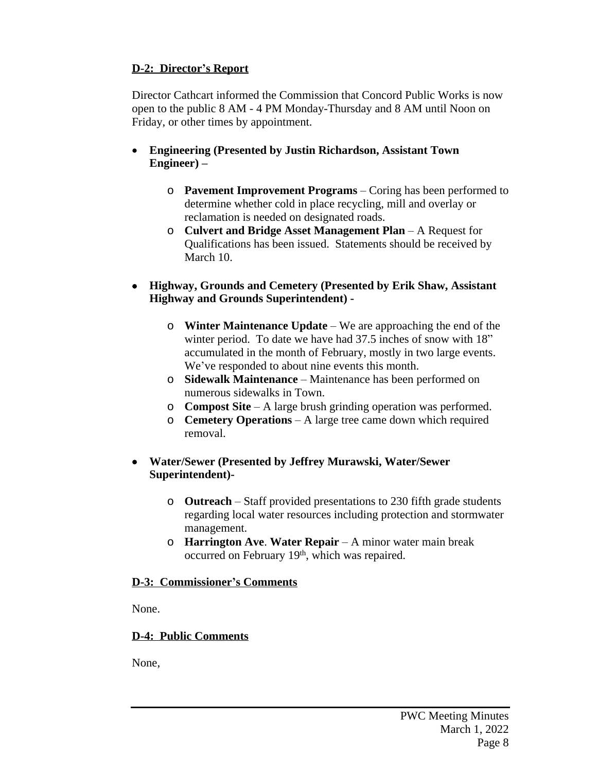# **D-2: Director's Report**

Director Cathcart informed the Commission that Concord Public Works is now open to the public 8 AM - 4 PM Monday-Thursday and 8 AM until Noon on Friday, or other times by appointment.

- **Engineering (Presented by Justin Richardson, Assistant Town Engineer) –**
	- o **Pavement Improvement Programs** Coring has been performed to determine whether cold in place recycling, mill and overlay or reclamation is needed on designated roads.
	- o **Culvert and Bridge Asset Management Plan**  A Request for Qualifications has been issued. Statements should be received by March 10.
- **Highway, Grounds and Cemetery (Presented by Erik Shaw, Assistant Highway and Grounds Superintendent)** 
	- o **Winter Maintenance Update** We are approaching the end of the winter period. To date we have had 37.5 inches of snow with 18" accumulated in the month of February, mostly in two large events. We've responded to about nine events this month.
	- o **Sidewalk Maintenance** Maintenance has been performed on numerous sidewalks in Town.
	- o **Compost Site**  A large brush grinding operation was performed.
	- o **Cemetery Operations**  A large tree came down which required removal.

## **Water/Sewer (Presented by Jeffrey Murawski, Water/Sewer Superintendent)-**

- o **Outreach** Staff provided presentations to 230 fifth grade students regarding local water resources including protection and stormwater management.
- o **Harrington Ave**. **Water Repair** A minor water main break occurred on February 19th, which was repaired.

# **D-3: Commissioner's Comments**

None.

# **D-4: Public Comments**

None,